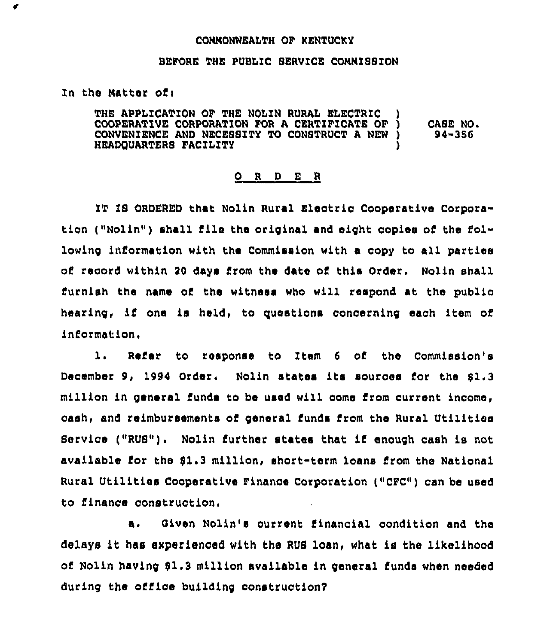## CONNONWEALTH OF KENTUCKy

## BEFORE THE PUBLIC SERVICE CONNISSION

## In the Natter ofi

¢

THE APPLICATION OF THE NOLIN RURAL ELECTRIC COOPERATIVE CORPORATION FOR <sup>A</sup> CERTIFICATE OF ) CONVENIENCE AND NECESSITY TO CONSTRUCT A NEW )<br>HEADQUARTERS FACILITY HEADQUARTERS FACILITY ) CA8E NO. 94-356

## 0 <sup>R</sup> <sup>D</sup> <sup>E</sup> <sup>R</sup>

IT IS ORDERED that Nolin Rural Electric Cooperative Corporation ("Nolin") shall file the original and eight copies of the following information with the Commission with a oopy to all parties of record within 20 days from the date of this Order, Nolin shall Furnish the name of the witness who will respond at the public hearing, if one is held, to questions concerning each item of information.

1. Refer to response to Item 6 of the Commission's December 9, 1994 Order. Nolin states its sources for the \$1.3 million in general funds to be used will come from current income, cash, and reimbursements of general funds from the Rural Utilities Service ("RUS") <sup>~</sup> Nolin further states that if enough cash is not available for the \$1.3 million, short-term loans from the Nationa Rural Utilities Cooperative Finance Corporation ("CFC") can be used to finance construction.

a. Qiven Nolin's current financial condition and the delays it has experienced with the RUS loan, what is the likelihood of Nolin having 01.3 million available in general funds when needed during the office building construction?